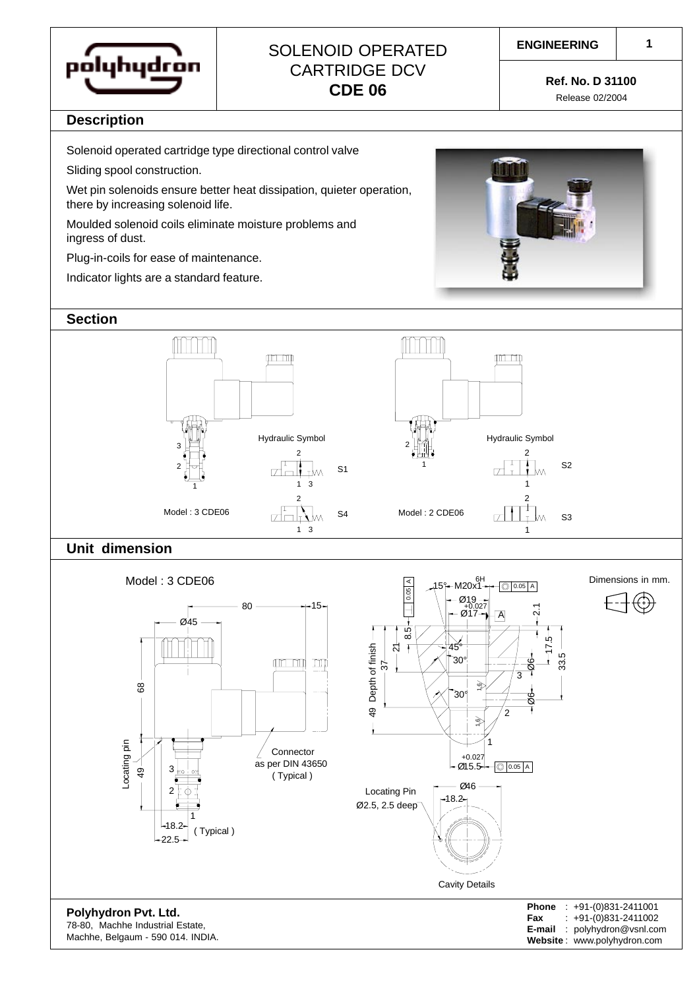

# SOLENOID OPERATED CARTRIDGE DCV **CDE 06 Ref. No. D 31100**

#### **ENGINEERING**

Release 02/2004

### **Description**

Solenoid operated cartridge type directional control valve

Sliding spool construction.

Wet pin solenoids ensure better heat dissipation, quieter operation, there by increasing solenoid life.

Moulded solenoid coils eliminate moisture problems and ingress of dust.

Plug-in-coils for ease of maintenance.

Indicator lights are a standard feature.



#### **Section**







| $: +91-(0)831-2411001$      |
|-----------------------------|
| $: +91-(0)831-2411002$      |
| : polyhydron@vsnl.com       |
| Website: www.polyhydron.com |
|                             |

**Polyhydron Pvt. Ltd.** 78-80, Machhe Industrial Estate, Machhe, Belgaum - 590 014. INDIA.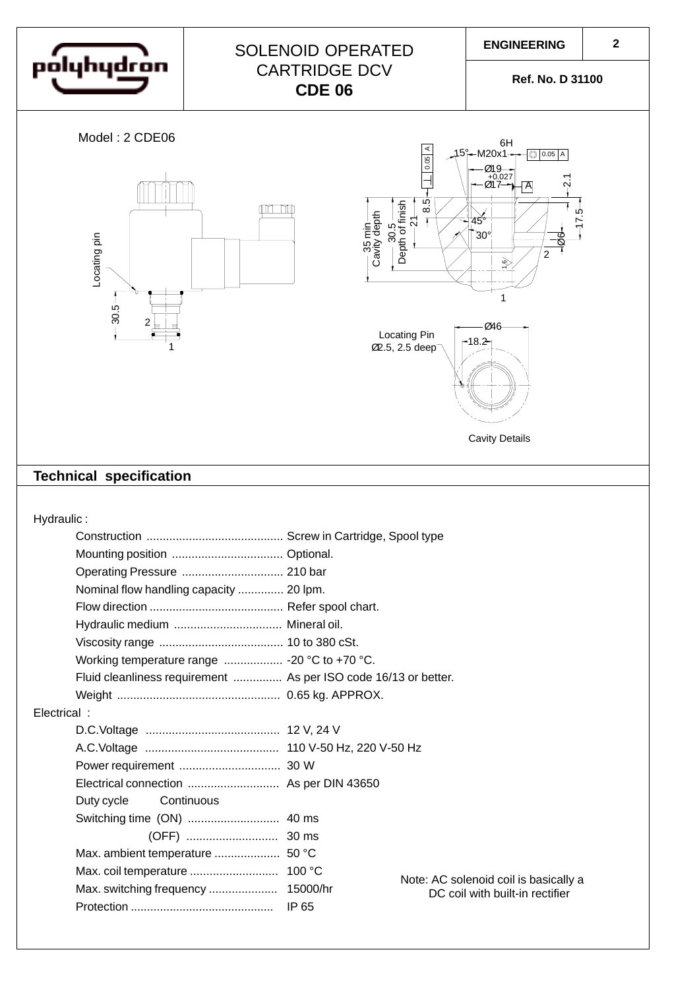

# SOLENOID OPERATED CARTRIDGE DCV **CDE 06**

**Ref. No. D 31100**







Cavity Details

## **Technical specification**

Hydraulic :

|             | Nominal flow handling capacity  20 lpm.                         |       |                                       |  |  |  |
|-------------|-----------------------------------------------------------------|-------|---------------------------------------|--|--|--|
|             |                                                                 |       |                                       |  |  |  |
|             | Hydraulic medium  Mineral oil.                                  |       |                                       |  |  |  |
|             |                                                                 |       |                                       |  |  |  |
|             | Working temperature range  - 20 °C to +70 °C.                   |       |                                       |  |  |  |
|             | Fluid cleanliness requirement  As per ISO code 16/13 or better. |       |                                       |  |  |  |
|             |                                                                 |       |                                       |  |  |  |
| Electrical: |                                                                 |       |                                       |  |  |  |
|             |                                                                 |       |                                       |  |  |  |
|             |                                                                 |       |                                       |  |  |  |
|             |                                                                 |       |                                       |  |  |  |
|             |                                                                 |       |                                       |  |  |  |
|             | Continuous<br>Duty cycle                                        |       |                                       |  |  |  |
|             |                                                                 |       |                                       |  |  |  |
|             |                                                                 |       |                                       |  |  |  |
|             |                                                                 |       |                                       |  |  |  |
|             |                                                                 |       | Note: AC solenoid coil is basically a |  |  |  |
|             |                                                                 |       | DC coil with built-in rectifier       |  |  |  |
|             |                                                                 | IP 65 |                                       |  |  |  |
|             |                                                                 |       |                                       |  |  |  |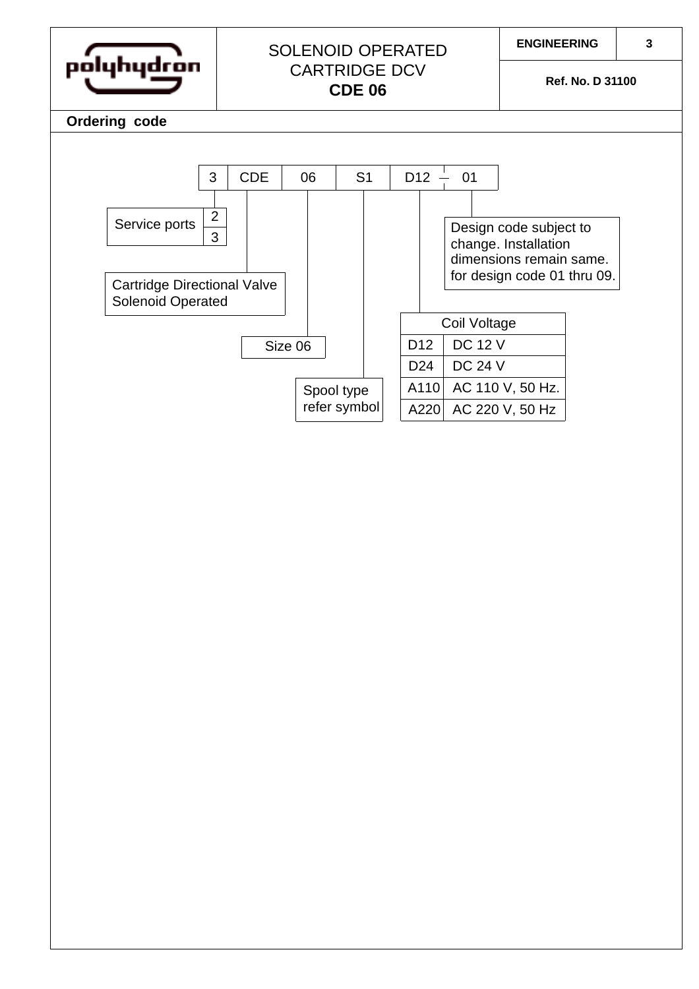| polyhydron                                                     | <b>SOLENOID OPERATED</b><br><b>CARTRIDGE DCV</b><br><b>CDE 06</b> |              |                | <b>ENGINEERING</b> | Ref. No. D 31100 | 3                                                                                                        |  |  |
|----------------------------------------------------------------|-------------------------------------------------------------------|--------------|----------------|--------------------|------------------|----------------------------------------------------------------------------------------------------------|--|--|
| Ordering code                                                  |                                                                   |              |                |                    |                  |                                                                                                          |  |  |
| 3<br>$\overline{2}$<br>Service ports<br>3                      | <b>CDE</b>                                                        | 06           | S <sub>1</sub> | D <sub>12</sub>    | 01               | Design code subject to<br>change. Installation<br>dimensions remain same.<br>for design code 01 thru 09. |  |  |
| <b>Cartridge Directional Valve</b><br><b>Solenoid Operated</b> |                                                                   |              |                |                    | Coil Voltage     |                                                                                                          |  |  |
|                                                                | Size 06                                                           |              |                | D <sub>12</sub>    | <b>DC 12 V</b>   |                                                                                                          |  |  |
|                                                                |                                                                   |              |                | D24                | <b>DC 24 V</b>   |                                                                                                          |  |  |
|                                                                |                                                                   | Spool type   |                | A110               |                  | AC 110 V, 50 Hz.                                                                                         |  |  |
|                                                                |                                                                   | refer symbol |                | A220               |                  | AC 220 V, 50 Hz                                                                                          |  |  |